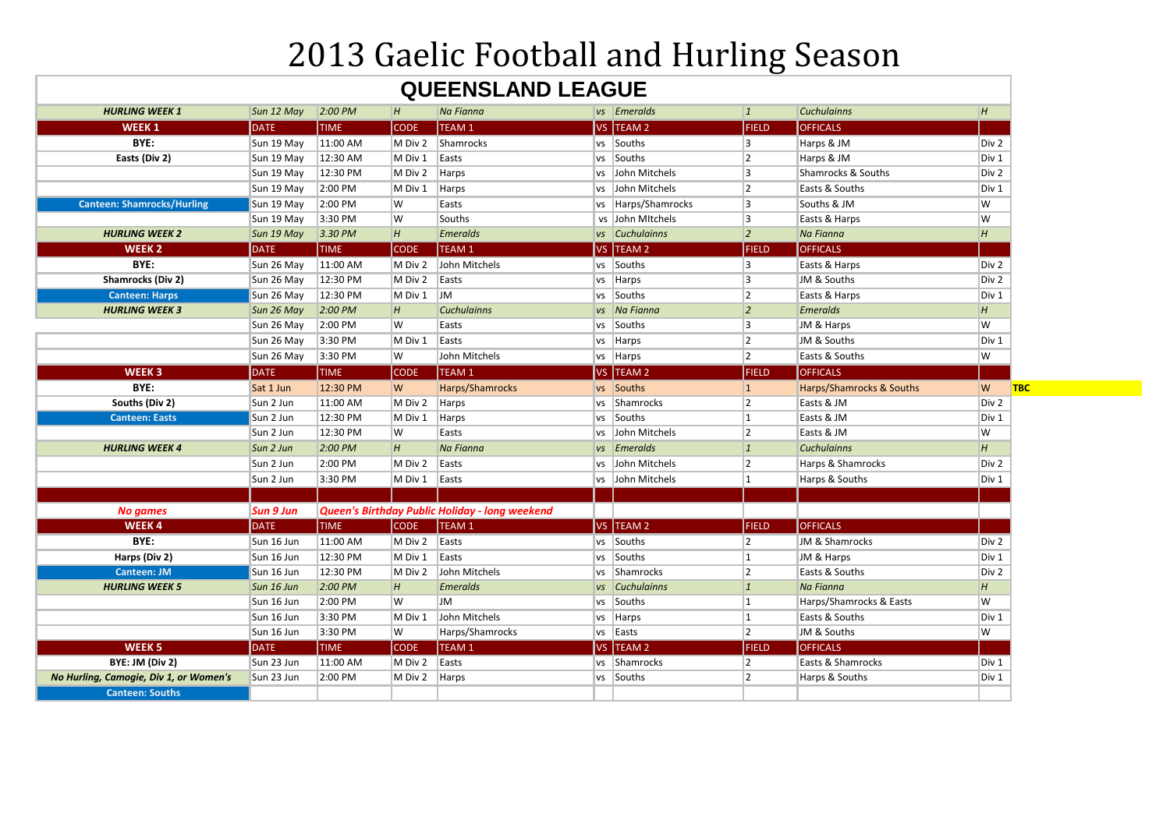## 2013 Gaelic Football and Hurling Season

## **QUEENSLAND LEAGUE**

| <b>DATE</b><br>Sun 19 May<br>Sun 19 May | <b>TIME</b><br>11:00 AM                                                                                                                                                                                                              | <b>CODE</b>                                                                                                                                                                                  | TEAM 1                                                                                                                      |                                                                                                                                                                                                                   | VS TEAM 2        | <b>FIELD</b>                                                                                                                                                                                                                                                                                                                                                                                                                                               | <b>OFFICALS</b>                                                                                      |                                                                                                                                                                                                                         |
|-----------------------------------------|--------------------------------------------------------------------------------------------------------------------------------------------------------------------------------------------------------------------------------------|----------------------------------------------------------------------------------------------------------------------------------------------------------------------------------------------|-----------------------------------------------------------------------------------------------------------------------------|-------------------------------------------------------------------------------------------------------------------------------------------------------------------------------------------------------------------|------------------|------------------------------------------------------------------------------------------------------------------------------------------------------------------------------------------------------------------------------------------------------------------------------------------------------------------------------------------------------------------------------------------------------------------------------------------------------------|------------------------------------------------------------------------------------------------------|-------------------------------------------------------------------------------------------------------------------------------------------------------------------------------------------------------------------------|
|                                         |                                                                                                                                                                                                                                      |                                                                                                                                                                                              |                                                                                                                             |                                                                                                                                                                                                                   |                  |                                                                                                                                                                                                                                                                                                                                                                                                                                                            |                                                                                                      |                                                                                                                                                                                                                         |
|                                         |                                                                                                                                                                                                                                      | M Div 2                                                                                                                                                                                      | Shamrocks                                                                                                                   |                                                                                                                                                                                                                   | vs Souths        | 3                                                                                                                                                                                                                                                                                                                                                                                                                                                          | Harps & JM                                                                                           | Div 2                                                                                                                                                                                                                   |
|                                         | 12:30 AM                                                                                                                                                                                                                             | M Div 1                                                                                                                                                                                      | Easts                                                                                                                       |                                                                                                                                                                                                                   | vs Souths        | 2                                                                                                                                                                                                                                                                                                                                                                                                                                                          | Harps & JM                                                                                           | Div 1                                                                                                                                                                                                                   |
| Sun 19 May                              | 12:30 PM                                                                                                                                                                                                                             | M Div 2                                                                                                                                                                                      | Harps                                                                                                                       |                                                                                                                                                                                                                   | vs John Mitchels | 3                                                                                                                                                                                                                                                                                                                                                                                                                                                          | Shamrocks & Souths                                                                                   | Div 2                                                                                                                                                                                                                   |
| Sun 19 May                              | 2:00 PM                                                                                                                                                                                                                              | M Div 1                                                                                                                                                                                      | Harps                                                                                                                       |                                                                                                                                                                                                                   | vs John Mitchels | 2                                                                                                                                                                                                                                                                                                                                                                                                                                                          | Easts & Souths                                                                                       | Div 1                                                                                                                                                                                                                   |
| Sun 19 May                              | 2:00 PM                                                                                                                                                                                                                              | W                                                                                                                                                                                            | Easts                                                                                                                       |                                                                                                                                                                                                                   |                  | 3                                                                                                                                                                                                                                                                                                                                                                                                                                                          | Souths & JM                                                                                          | W                                                                                                                                                                                                                       |
| Sun 19 May                              | 3:30 PM                                                                                                                                                                                                                              | W                                                                                                                                                                                            | Souths                                                                                                                      |                                                                                                                                                                                                                   |                  | 3                                                                                                                                                                                                                                                                                                                                                                                                                                                          | Easts & Harps                                                                                        | W                                                                                                                                                                                                                       |
| Sun 19 May                              | 3.30 P <sub>M</sub>                                                                                                                                                                                                                  | H                                                                                                                                                                                            | <b>Emeralds</b>                                                                                                             |                                                                                                                                                                                                                   |                  | $ 2\rangle$                                                                                                                                                                                                                                                                                                                                                                                                                                                | Na Fianna                                                                                            |                                                                                                                                                                                                                         |
| <b>DATE</b>                             | <b>TIME</b>                                                                                                                                                                                                                          | <b>CODE</b>                                                                                                                                                                                  | TEAM <sub>1</sub>                                                                                                           |                                                                                                                                                                                                                   |                  | FIELD                                                                                                                                                                                                                                                                                                                                                                                                                                                      | <b>OFFICALS</b>                                                                                      |                                                                                                                                                                                                                         |
| Sun 26 May                              | 11:00 AM                                                                                                                                                                                                                             | M Div 2                                                                                                                                                                                      | John Mitchels                                                                                                               |                                                                                                                                                                                                                   |                  | 3                                                                                                                                                                                                                                                                                                                                                                                                                                                          | Easts & Harps                                                                                        | Div 2                                                                                                                                                                                                                   |
| Sun 26 May                              | 12:30 PM                                                                                                                                                                                                                             | M Div 2                                                                                                                                                                                      | Easts                                                                                                                       |                                                                                                                                                                                                                   |                  | 3                                                                                                                                                                                                                                                                                                                                                                                                                                                          | JM & Souths                                                                                          | Div 2                                                                                                                                                                                                                   |
| Sun 26 May                              | 12:30 PM                                                                                                                                                                                                                             | M Div 1                                                                                                                                                                                      | <b>JM</b>                                                                                                                   |                                                                                                                                                                                                                   |                  | 2                                                                                                                                                                                                                                                                                                                                                                                                                                                          | Easts & Harps                                                                                        | Div 1                                                                                                                                                                                                                   |
| Sun 26 May                              | $2:00$ PM                                                                                                                                                                                                                            | H                                                                                                                                                                                            | <b>Cuchulainns</b>                                                                                                          |                                                                                                                                                                                                                   |                  | $\vert$ 2                                                                                                                                                                                                                                                                                                                                                                                                                                                  | <b>Emeralds</b>                                                                                      | H                                                                                                                                                                                                                       |
| Sun 26 May                              | 2:00 PM                                                                                                                                                                                                                              | W                                                                                                                                                                                            | Easts                                                                                                                       |                                                                                                                                                                                                                   |                  | 3                                                                                                                                                                                                                                                                                                                                                                                                                                                          | JM & Harps                                                                                           | W                                                                                                                                                                                                                       |
|                                         |                                                                                                                                                                                                                                      | M Div 1                                                                                                                                                                                      | Easts                                                                                                                       |                                                                                                                                                                                                                   |                  |                                                                                                                                                                                                                                                                                                                                                                                                                                                            | JM & Souths                                                                                          | Div 1                                                                                                                                                                                                                   |
|                                         |                                                                                                                                                                                                                                      | W                                                                                                                                                                                            | John Mitchels                                                                                                               |                                                                                                                                                                                                                   |                  | $\vert$ 2                                                                                                                                                                                                                                                                                                                                                                                                                                                  | Easts & Souths                                                                                       | W                                                                                                                                                                                                                       |
|                                         |                                                                                                                                                                                                                                      |                                                                                                                                                                                              |                                                                                                                             |                                                                                                                                                                                                                   |                  |                                                                                                                                                                                                                                                                                                                                                                                                                                                            |                                                                                                      |                                                                                                                                                                                                                         |
| Sat 1 Jun                               | 12:30 PM                                                                                                                                                                                                                             | W                                                                                                                                                                                            | Harps/Shamrocks                                                                                                             |                                                                                                                                                                                                                   |                  | $\vert$ 1                                                                                                                                                                                                                                                                                                                                                                                                                                                  | Harps/Shamrocks & Souths                                                                             | W                                                                                                                                                                                                                       |
| Sun 2 Jun                               | 11:00 AM                                                                                                                                                                                                                             | M Div 2                                                                                                                                                                                      | Harps                                                                                                                       |                                                                                                                                                                                                                   |                  | 2                                                                                                                                                                                                                                                                                                                                                                                                                                                          | Easts & JM                                                                                           | Div 2                                                                                                                                                                                                                   |
| Sun 2 Jun                               | 12:30 PM                                                                                                                                                                                                                             | M Div 1                                                                                                                                                                                      |                                                                                                                             |                                                                                                                                                                                                                   |                  | 1                                                                                                                                                                                                                                                                                                                                                                                                                                                          | Easts & JM                                                                                           | Div 1                                                                                                                                                                                                                   |
| Sun 2 Jun                               | 12:30 PM                                                                                                                                                                                                                             | W                                                                                                                                                                                            | Easts                                                                                                                       |                                                                                                                                                                                                                   |                  | <u> 2</u>                                                                                                                                                                                                                                                                                                                                                                                                                                                  | Easts & JM                                                                                           | W                                                                                                                                                                                                                       |
| Sun 2 Jun                               | 2:00 PM                                                                                                                                                                                                                              | H                                                                                                                                                                                            | Na Fianna                                                                                                                   |                                                                                                                                                                                                                   |                  | $\vert$ 1                                                                                                                                                                                                                                                                                                                                                                                                                                                  | <b>Cuchulainns</b>                                                                                   | H                                                                                                                                                                                                                       |
| Sun 2 Jun                               |                                                                                                                                                                                                                                      |                                                                                                                                                                                              | Easts                                                                                                                       |                                                                                                                                                                                                                   |                  | 2                                                                                                                                                                                                                                                                                                                                                                                                                                                          | Harps & Shamrocks                                                                                    |                                                                                                                                                                                                                         |
|                                         |                                                                                                                                                                                                                                      |                                                                                                                                                                                              |                                                                                                                             |                                                                                                                                                                                                                   |                  | 1                                                                                                                                                                                                                                                                                                                                                                                                                                                          |                                                                                                      | Div 1                                                                                                                                                                                                                   |
|                                         |                                                                                                                                                                                                                                      |                                                                                                                                                                                              |                                                                                                                             |                                                                                                                                                                                                                   |                  |                                                                                                                                                                                                                                                                                                                                                                                                                                                            |                                                                                                      |                                                                                                                                                                                                                         |
|                                         |                                                                                                                                                                                                                                      |                                                                                                                                                                                              |                                                                                                                             |                                                                                                                                                                                                                   |                  |                                                                                                                                                                                                                                                                                                                                                                                                                                                            |                                                                                                      |                                                                                                                                                                                                                         |
|                                         |                                                                                                                                                                                                                                      |                                                                                                                                                                                              |                                                                                                                             |                                                                                                                                                                                                                   |                  |                                                                                                                                                                                                                                                                                                                                                                                                                                                            |                                                                                                      |                                                                                                                                                                                                                         |
|                                         |                                                                                                                                                                                                                                      |                                                                                                                                                                                              |                                                                                                                             |                                                                                                                                                                                                                   |                  |                                                                                                                                                                                                                                                                                                                                                                                                                                                            |                                                                                                      | Div 2                                                                                                                                                                                                                   |
|                                         |                                                                                                                                                                                                                                      |                                                                                                                                                                                              |                                                                                                                             |                                                                                                                                                                                                                   |                  | 11                                                                                                                                                                                                                                                                                                                                                                                                                                                         |                                                                                                      | Div 1                                                                                                                                                                                                                   |
|                                         |                                                                                                                                                                                                                                      |                                                                                                                                                                                              |                                                                                                                             |                                                                                                                                                                                                                   |                  |                                                                                                                                                                                                                                                                                                                                                                                                                                                            |                                                                                                      | Div 2                                                                                                                                                                                                                   |
|                                         |                                                                                                                                                                                                                                      |                                                                                                                                                                                              |                                                                                                                             |                                                                                                                                                                                                                   |                  |                                                                                                                                                                                                                                                                                                                                                                                                                                                            |                                                                                                      | H                                                                                                                                                                                                                       |
|                                         |                                                                                                                                                                                                                                      | W                                                                                                                                                                                            | <b>JM</b>                                                                                                                   |                                                                                                                                                                                                                   |                  |                                                                                                                                                                                                                                                                                                                                                                                                                                                            |                                                                                                      | W                                                                                                                                                                                                                       |
|                                         |                                                                                                                                                                                                                                      | M Div 1                                                                                                                                                                                      |                                                                                                                             |                                                                                                                                                                                                                   |                  | 1                                                                                                                                                                                                                                                                                                                                                                                                                                                          | Easts & Souths                                                                                       | Div 1                                                                                                                                                                                                                   |
|                                         |                                                                                                                                                                                                                                      | W                                                                                                                                                                                            |                                                                                                                             |                                                                                                                                                                                                                   |                  |                                                                                                                                                                                                                                                                                                                                                                                                                                                            |                                                                                                      | W                                                                                                                                                                                                                       |
|                                         |                                                                                                                                                                                                                                      |                                                                                                                                                                                              |                                                                                                                             |                                                                                                                                                                                                                   |                  |                                                                                                                                                                                                                                                                                                                                                                                                                                                            |                                                                                                      |                                                                                                                                                                                                                         |
|                                         |                                                                                                                                                                                                                                      |                                                                                                                                                                                              |                                                                                                                             |                                                                                                                                                                                                                   |                  |                                                                                                                                                                                                                                                                                                                                                                                                                                                            |                                                                                                      | Div 1                                                                                                                                                                                                                   |
|                                         |                                                                                                                                                                                                                                      |                                                                                                                                                                                              |                                                                                                                             |                                                                                                                                                                                                                   |                  |                                                                                                                                                                                                                                                                                                                                                                                                                                                            |                                                                                                      | Div 1                                                                                                                                                                                                                   |
|                                         |                                                                                                                                                                                                                                      |                                                                                                                                                                                              |                                                                                                                             |                                                                                                                                                                                                                   |                  |                                                                                                                                                                                                                                                                                                                                                                                                                                                            |                                                                                                      |                                                                                                                                                                                                                         |
|                                         | Sun 26 May<br>Sun 26 May<br><b>DATE</b><br>Sun 2 Jun<br><b>Sun 9 Jun</b><br><b>DATE</b><br>Sun 16 Jun<br>Sun 16 Jun<br>Sun 16 Jun<br>Sun 16 Jun<br>Sun 16 Jun<br>Sun 16 Jun<br>Sun 16 Jun<br><b>DATE</b><br>Sun 23 Jun<br>Sun 23 Jun | 3:30 PM<br>3:30 PM<br><b>TIME</b><br>2:00 PM<br>3:30 PM<br><b>TIME</b><br>11:00 AM<br>12:30 PM<br>12:30 PM<br>2:00 PM<br>2:00 PM<br>3:30 PM<br>3:30 PM<br><b>TIME</b><br>11:00 AM<br>2:00 PM | <b>CODE</b><br>M Div 2<br>M Div 1<br><b>CODE</b><br>M Div 2<br>M Div 1<br>M Div 2<br>H<br><b>CODE</b><br>M Div 2<br>M Div 2 | TEAM 1<br>Harps<br>Easts<br>Queen's Birthday Public Holiday - long weekend<br>TEAM 1<br>Easts<br><b>Easts</b><br>John Mitchels<br><b>Emeralds</b><br>John Mitchels<br>Harps/Shamrocks<br>TEAM 1<br>Easts<br>Harps |                  | vs Harps/Shamrocks<br>vs John Mitchels<br>vs Cuchulainns<br>VS TEAM 2<br>vs Souths<br>vs Harps<br>vs Souths<br>vs Na Fianna<br>vs Souths<br>vs Harps<br>vs Harps<br>VS TEAM 2<br>vs Souths<br>vs Shamrocks<br>vs Souths<br>vs John Mitchels<br>vs Emeralds<br>vs John Mitchels<br>vs John Mitchels<br>VS TEAM 2<br>vs Souths<br>vs Souths<br>vs Shamrocks<br>vs Cuchulainns<br>vs Souths<br>vs Harps<br>vs Easts<br>VS TEAM 2<br>vs Shamrocks<br>vs Souths | 2 <br><b>FIELD</b><br><b>FIELD</b><br>2<br> 2 <br>$ 1\rangle$<br>1<br> 2 <br><b>FIELD</b><br>2<br>12 | <b>OFFICALS</b><br>Harps & Souths<br><b>OFFICALS</b><br>JM & Shamrocks<br>JM & Harps<br>Easts & Souths<br>Na Fianna<br>Harps/Shamrocks & Easts<br>JM & Souths<br><b>OFFICALS</b><br>Easts & Shamrocks<br>Harps & Souths |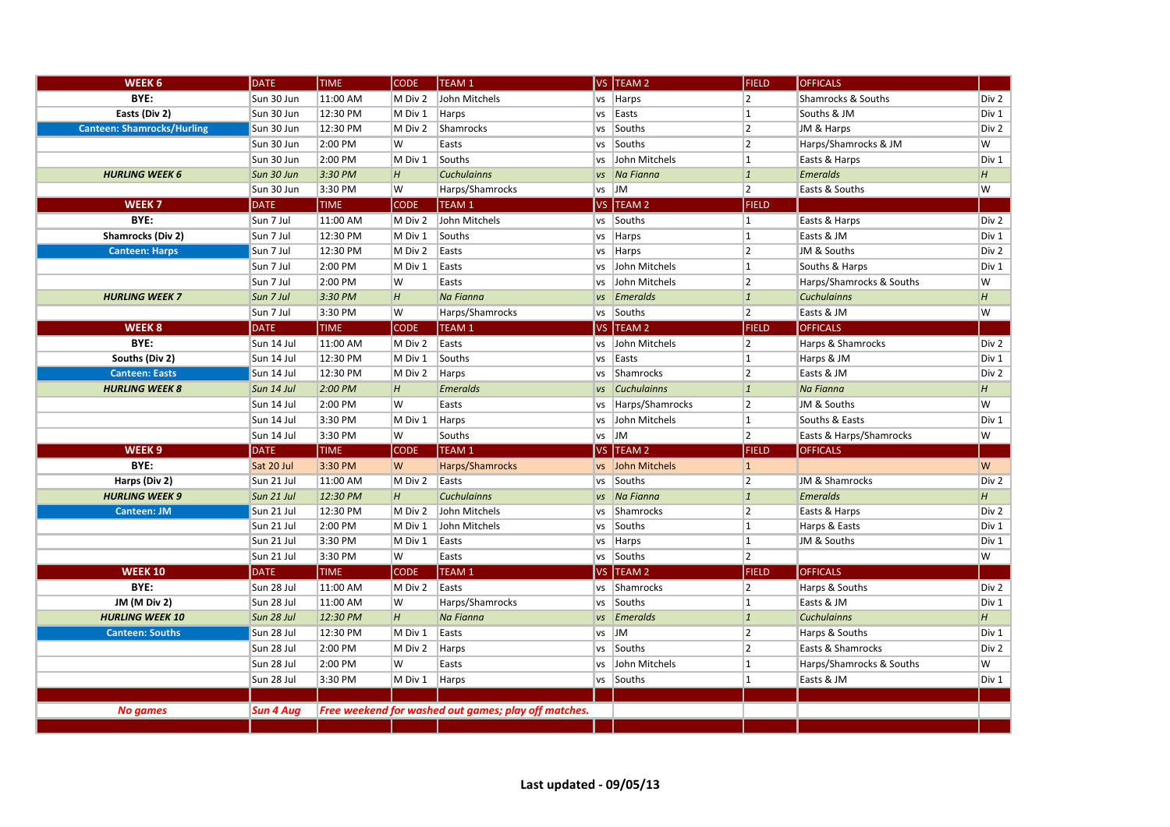| WEEK <sub>6</sub>                 | <b>DATE</b>      | <b>TIME</b> | <b>CODE</b> | TEAM 1                                               |           | VS TEAM 2          | <b>FIELD</b>   | <b>OFFICALS</b>          |                |
|-----------------------------------|------------------|-------------|-------------|------------------------------------------------------|-----------|--------------------|----------------|--------------------------|----------------|
| BYE:                              | Sun 30 Jun       | 11:00 AM    | M Div 2     | John Mitchels                                        | <b>VS</b> | Harps              | 2              | Shamrocks & Souths       | Div 2          |
| Easts (Div 2)                     | Sun 30 Jun       | 12:30 PM    | M Div 1     | Harps                                                | VS        | Easts              | 1              | Souths & JM              | Div 1          |
| <b>Canteen: Shamrocks/Hurling</b> | Sun 30 Jun       | 12:30 PM    | M Div 2     | Shamrocks                                            | <b>VS</b> | Souths             | 2              | JM & Harps               | Div 2          |
|                                   | Sun 30 Jun       | 2:00 PM     | W           | Easts                                                | vs        | Souths             | 2              | Harps/Shamrocks & JM     | W              |
|                                   | Sun 30 Jun       | 2:00 PM     | M Div 1     | Souths                                               | VS        | John Mitchels      | 1              | Easts & Harps            | Div 1          |
| <b>HURLING WEEK 6</b>             | Sun 30 Jun       | 3:30 PM     | H           | <b>Cuchulainns</b>                                   |           | vs   Na Fianna     | 1              | <b>Emeralds</b>          | H              |
|                                   | Sun 30 Jun       | 3:30 PM     | W           | Harps/Shamrocks                                      | vs        | $\mathsf{Im}$      | 2              | Easts & Souths           | $\overline{W}$ |
| WEEK <sub>7</sub>                 | <b>DATE</b>      | <b>TIME</b> | <b>CODE</b> | TEAM 1                                               |           | VS TEAM 2          | <b>FIELD</b>   |                          |                |
| BYE:                              | Sun 7 Jul        | 11:00 AM    | M Div 2     | John Mitchels                                        | <b>VS</b> | Souths             | 1              | Easts & Harps            | Div 2          |
| Shamrocks (Div 2)                 | Sun 7 Jul        | 12:30 PM    | M Div 1     | Souths                                               | <b>VS</b> | Harps              | 1              | Easts & JM               | Div 1          |
| <b>Canteen: Harps</b>             | Sun 7 Jul        | 12:30 PM    | M Div 2     | Easts                                                | <b>VS</b> | Harps              | $\vert$ 2      | JM & Souths              | Div 2          |
|                                   | Sun 7 Jul        | 2:00 PM     | M Div 1     | Easts                                                | vs        | John Mitchels      | 1              | Souths & Harps           | Div 1          |
|                                   | Sun 7 Jul        | 2:00 PM     | lw          | Easts                                                | <b>VS</b> | John Mitchels      | 2              | Harps/Shamrocks & Souths | W              |
| <b>HURLING WEEK 7</b>             | Sun 7 Jul        | 3:30 PM     | H           | Na Fianna                                            |           | vs Emeralds        | 1              | <b>Cuchulainns</b>       | H              |
|                                   | Sun 7 Jul        | 3:30 PM     | W           | Harps/Shamrocks                                      | vs        | Souths             | 2              | Easts & JM               | W              |
| WEEK <sub>8</sub>                 | <b>DATE</b>      | <b>TIME</b> | <b>CODE</b> | TEAM <sub>1</sub>                                    |           | VS TEAM 2          | <b>FIELD</b>   | <b>OFFICALS</b>          |                |
| BYE:                              | Sun 14 Jul       | 11:00 AM    | M Div 2     | Easts                                                | <b>VS</b> | John Mitchels      | 2              | Harps & Shamrocks        | Div 2          |
| Souths (Div 2)                    | Sun 14 Jul       | 12:30 PM    | M Div 1     | Souths                                               | vs        | Easts              | 1              | Harps & JM               | Div 1          |
| <b>Canteen: Easts</b>             | Sun 14 Jul       | 12:30 PM    | M Div 2     | Harps                                                | <b>VS</b> | Shamrocks          | 2              | Easts & JM               | Div 2          |
| <b>HURLING WEEK 8</b>             | Sun 14 Jul       | 2:00 PM     | H           | <b>Emeralds</b>                                      | <b>VS</b> | <b>Cuchulainns</b> | 1              | Na Fianna                | H              |
|                                   | Sun 14 Jul       | 2:00 PM     | W           | Easts                                                | <b>VS</b> | Harps/Shamrocks    | 2              | JM & Souths              | W              |
|                                   | Sun 14 Jul       | 3:30 PM     | M Div 1     | Harps                                                | vs        | John Mitchels      | 1              | Souths & Easts           | Div 1          |
|                                   | Sun 14 Jul       | 3:30 PM     | W           | Souths                                               | <b>VS</b> | <b>JM</b>          | 2              | Easts & Harps/Shamrocks  | W              |
| WEEK <sub>9</sub>                 | <b>DATE</b>      | <b>TIME</b> | <b>CODE</b> | TEAM <sub>1</sub>                                    |           | VS TEAM 2          | <b>FIELD</b>   | <b>OFFICALS</b>          |                |
| BYE:                              | Sat 20 Jul       | 3:30 PM     | W           | Harps/Shamrocks                                      | <b>VS</b> | John Mitchels      | $ 1\rangle$    |                          | W              |
| Harps (Div 2)                     | Sun 21 Jul       | 11:00 AM    | M Div 2     | Easts                                                | <b>VS</b> | Souths             | 2              | JM & Shamrocks           | Div 2          |
| <b>HURLING WEEK 9</b>             | Sun 21 Jul       | 12:30 PM    | H           | <b>Cuchulainns</b>                                   | <b>VS</b> | Na Fianna          | 1              | <b>Emeralds</b>          | H              |
| Canteen: JM                       | Sun 21 Jul       | 12:30 PM    | M Div 2     | John Mitchels                                        | <b>VS</b> | Shamrocks          | 2              | Easts & Harps            | Div 2          |
|                                   | Sun 21 Jul       | 2:00 PM     | M Div 1     | John Mitchels                                        | VS        | Souths             | 1              | Harps & Easts            | Div 1          |
|                                   | Sun 21 Jul       | 3:30 PM     | M Div 1     | Easts                                                | <b>VS</b> | Harps              | 1              | JM & Souths              | Div 1          |
|                                   | Sun 21 Jul       | 3:30 PM     | W           | Easts                                                |           | vs Souths          | $\overline{2}$ |                          | W              |
| <b>WEEK 10</b>                    | <b>DATE</b>      | <b>TIME</b> | <b>CODE</b> | TEAM 1                                               |           | VS TEAM 2          | <b>FIELD</b>   | <b>OFFICALS</b>          |                |
| BYE:                              | Sun 28 Jul       | 11:00 AM    | M Div 2     | Easts                                                | <b>VS</b> | Shamrocks          | 2              | Harps & Souths           | Div 2          |
| JM (M Div 2)                      | Sun 28 Jul       | 11:00 AM    | W           | Harps/Shamrocks                                      | <b>VS</b> | Souths             | 1              | Easts & JM               | Div 1          |
| <b>HURLING WEEK 10</b>            | Sun 28 Jul       | 12:30 PM    | H           | Na Fianna                                            | <b>VS</b> | <b>Emeralds</b>    | $\vert$ 1      | <b>Cuchulainns</b>       | H              |
| <b>Canteen: Souths</b>            | Sun 28 Jul       | 12:30 PM    | M Div 1     | Easts                                                | <b>VS</b> | <b>JM</b>          | 2              | Harps & Souths           | Div 1          |
|                                   | Sun 28 Jul       | 2:00 PM     | M Div 2     | Harps                                                | <b>VS</b> | Souths             | $\vert$ 2      | Easts & Shamrocks        | Div 2          |
|                                   | Sun 28 Jul       | 2:00 PM     | W           | Easts                                                | <b>VS</b> | John Mitchels      | 1              | Harps/Shamrocks & Souths | W              |
|                                   | Sun 28 Jul       | 3:30 PM     | M Div 1     | Harps                                                |           | vs Souths          | 1              | Easts & JM               | Div 1          |
|                                   |                  |             |             |                                                      |           |                    |                |                          |                |
| <b>No games</b>                   | <b>Sun 4 Aug</b> |             |             | Free weekend for washed out games; play off matches. |           |                    |                |                          |                |
|                                   |                  |             |             |                                                      |           |                    |                |                          |                |